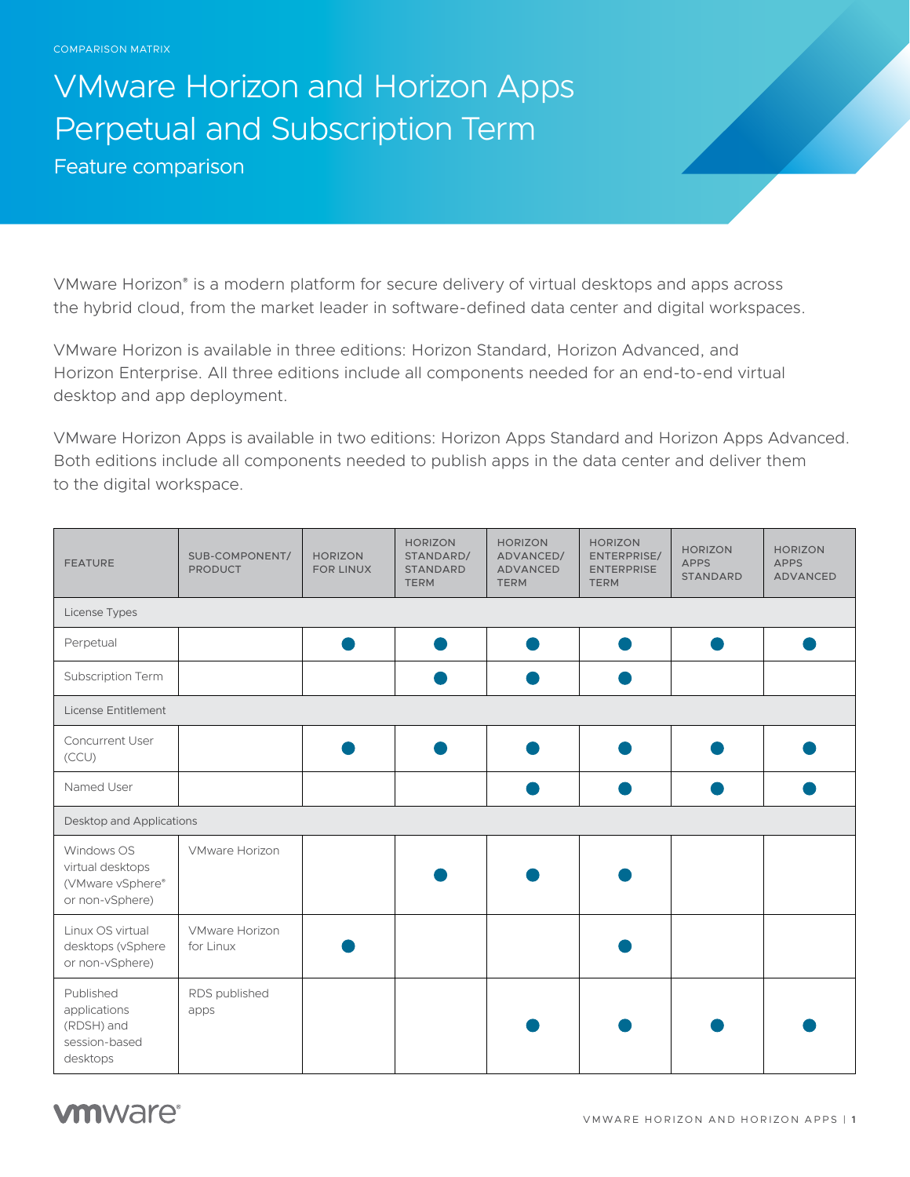## VMware Horizon and Horizon Apps Perpetual and Subscription Term

Feature comparison

VMware Horizon® is a modern platform for secure delivery of virtual desktops and apps across the hybrid cloud, from the market leader in software-defined data center and digital workspaces.

VMware Horizon is available in three editions: Horizon Standard, Horizon Advanced, and Horizon Enterprise. All three editions include all components needed for an end-to-end virtual desktop and app deployment.

VMware Horizon Apps is available in two editions: Horizon Apps Standard and Horizon Apps Advanced. Both editions include all components needed to publish apps in the data center and deliver them to the digital workspace.

| <b>FEATURE</b>                                                        | SUB-COMPONENT/<br><b>PRODUCT</b>   | <b>HORIZON</b><br><b>FOR LINUX</b> | <b>HORIZON</b><br>STANDARD/<br><b>STANDARD</b><br><b>TERM</b> | <b>HORIZON</b><br>ADVANCED/<br>ADVANCED<br><b>TERM</b> | <b>HORIZON</b><br>ENTERPRISE/<br><b>ENTERPRISE</b><br><b>TERM</b> | <b>HORIZON</b><br><b>APPS</b><br><b>STANDARD</b> | <b>HORIZON</b><br><b>APPS</b><br><b>ADVANCED</b> |  |
|-----------------------------------------------------------------------|------------------------------------|------------------------------------|---------------------------------------------------------------|--------------------------------------------------------|-------------------------------------------------------------------|--------------------------------------------------|--------------------------------------------------|--|
| License Types                                                         |                                    |                                    |                                                               |                                                        |                                                                   |                                                  |                                                  |  |
| Perpetual                                                             |                                    |                                    |                                                               |                                                        |                                                                   |                                                  |                                                  |  |
| Subscription Term                                                     |                                    |                                    |                                                               |                                                        |                                                                   |                                                  |                                                  |  |
| <b>License Entitlement</b>                                            |                                    |                                    |                                                               |                                                        |                                                                   |                                                  |                                                  |  |
| <b>Concurrent User</b><br>(CCU)                                       |                                    |                                    |                                                               |                                                        |                                                                   |                                                  |                                                  |  |
| Named User                                                            |                                    |                                    |                                                               |                                                        |                                                                   |                                                  |                                                  |  |
| Desktop and Applications                                              |                                    |                                    |                                                               |                                                        |                                                                   |                                                  |                                                  |  |
| Windows OS<br>virtual desktops<br>(VMware vSphere®<br>or non-vSphere) | <b>VMware Horizon</b>              |                                    |                                                               |                                                        |                                                                   |                                                  |                                                  |  |
| Linux OS virtual<br>desktops (vSphere<br>or non-vSphere)              | <b>VMware Horizon</b><br>for Linux |                                    |                                                               |                                                        |                                                                   |                                                  |                                                  |  |
| Published<br>applications<br>(RDSH) and<br>session-based<br>desktops  | RDS published<br>apps              |                                    |                                                               |                                                        |                                                                   |                                                  |                                                  |  |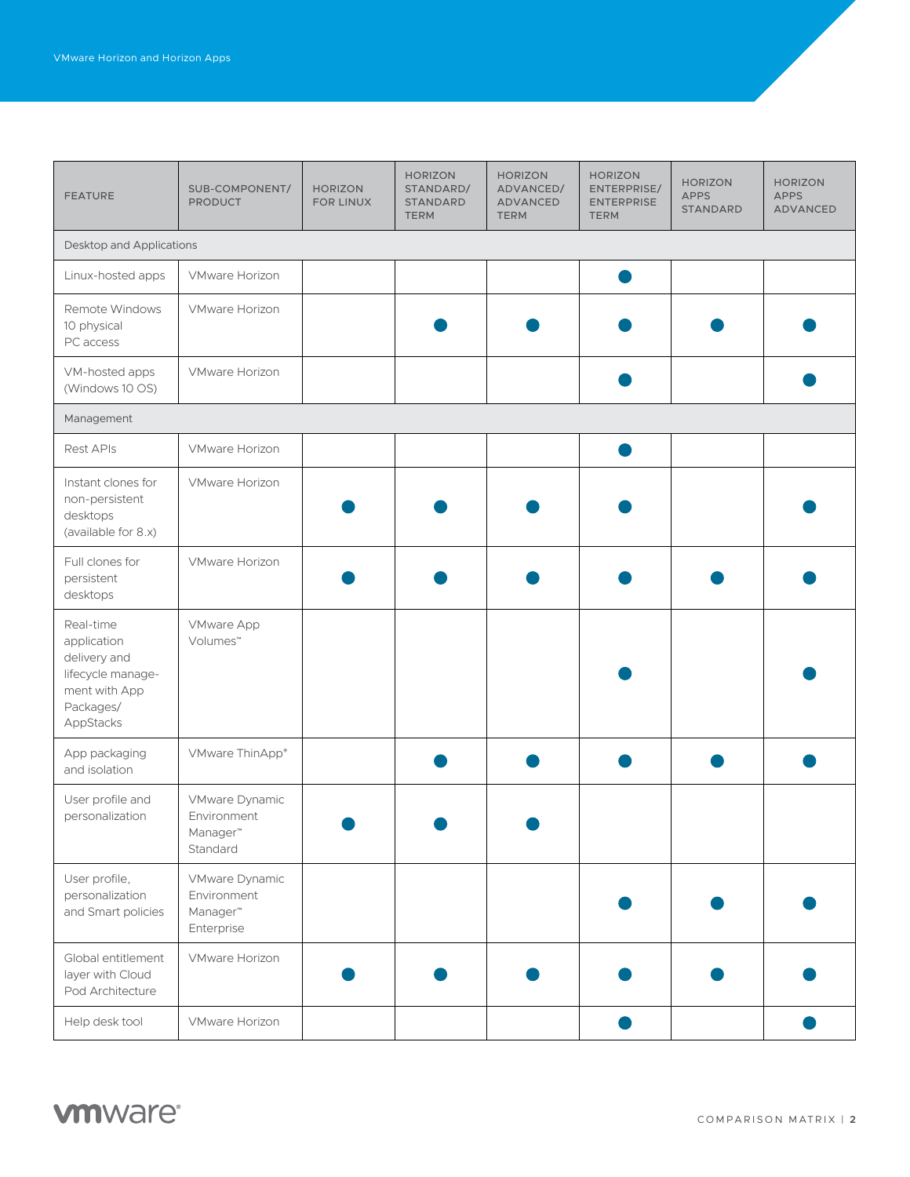| <b>FEATURE</b>                                                                                           | SUB-COMPONENT/<br><b>PRODUCT</b>                                    | <b>HORIZON</b><br><b>FOR LINUX</b> | <b>HORIZON</b><br>STANDARD/<br><b>STANDARD</b><br><b>TERM</b> | <b>HORIZON</b><br>ADVANCED/<br><b>ADVANCED</b><br><b>TERM</b> | <b>HORIZON</b><br>ENTERPRISE/<br><b>ENTERPRISE</b><br><b>TERM</b> | <b>HORIZON</b><br><b>APPS</b><br><b>STANDARD</b> | <b>HORIZON</b><br><b>APPS</b><br><b>ADVANCED</b> |  |
|----------------------------------------------------------------------------------------------------------|---------------------------------------------------------------------|------------------------------------|---------------------------------------------------------------|---------------------------------------------------------------|-------------------------------------------------------------------|--------------------------------------------------|--------------------------------------------------|--|
| Desktop and Applications                                                                                 |                                                                     |                                    |                                                               |                                                               |                                                                   |                                                  |                                                  |  |
| Linux-hosted apps                                                                                        | <b>VMware Horizon</b>                                               |                                    |                                                               |                                                               |                                                                   |                                                  |                                                  |  |
| Remote Windows<br>10 physical<br>PC access                                                               | <b>VMware Horizon</b>                                               |                                    |                                                               |                                                               |                                                                   |                                                  |                                                  |  |
| VM-hosted apps<br>(Windows 10 OS)                                                                        | <b>VMware Horizon</b>                                               |                                    |                                                               |                                                               |                                                                   |                                                  |                                                  |  |
| Management                                                                                               |                                                                     |                                    |                                                               |                                                               |                                                                   |                                                  |                                                  |  |
| Rest APIs                                                                                                | <b>VMware Horizon</b>                                               |                                    |                                                               |                                                               |                                                                   |                                                  |                                                  |  |
| Instant clones for<br>non-persistent<br>desktops<br>(available for 8.x)                                  | <b>VMware Horizon</b>                                               |                                    |                                                               |                                                               |                                                                   |                                                  |                                                  |  |
| Full clones for<br>persistent<br>desktops                                                                | VMware Horizon                                                      |                                    |                                                               |                                                               |                                                                   |                                                  |                                                  |  |
| Real-time<br>application<br>delivery and<br>lifecycle manage-<br>ment with App<br>Packages/<br>AppStacks | <b>VMware App</b><br>Volumes <sup>™</sup>                           |                                    |                                                               |                                                               |                                                                   |                                                  |                                                  |  |
| App packaging<br>and isolation                                                                           | VMware ThinApp®                                                     |                                    |                                                               |                                                               |                                                                   |                                                  |                                                  |  |
| User profile and<br>personalization                                                                      | VMware Dynamic<br>Environment<br>Manager™<br>Standard               |                                    |                                                               |                                                               |                                                                   |                                                  |                                                  |  |
| User profile,<br>personalization<br>and Smart policies                                                   | VMware Dynamic<br>Environment<br>Manager <sup>™</sup><br>Enterprise |                                    |                                                               |                                                               |                                                                   |                                                  |                                                  |  |
| Global entitlement<br>layer with Cloud<br>Pod Architecture                                               | VMware Horizon                                                      |                                    |                                                               |                                                               |                                                                   |                                                  |                                                  |  |
| Help desk tool                                                                                           | VMware Horizon                                                      |                                    |                                                               |                                                               |                                                                   |                                                  |                                                  |  |